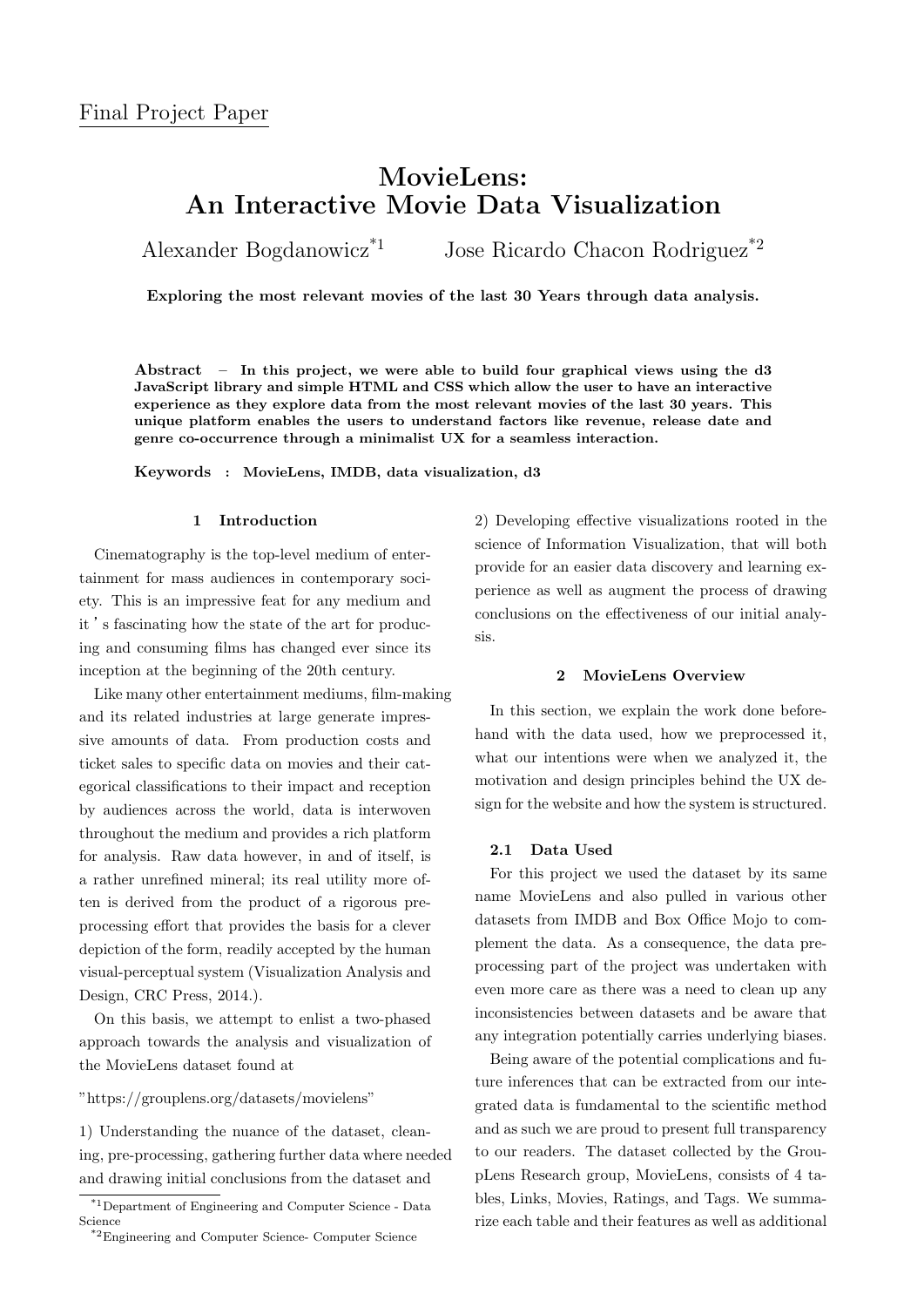# **MovieLens: An Interactive Movie Data Visualization**

Alexander Bogdanowicz<sup>\*1</sup> Jose Ricardo Chacon Rodriguez<sup>\*2</sup>

**Exploring the most relevant movies of the last 30 Years through data analysis.**

**Abstract – In this project, we were able to build four graphical views using the d3 JavaScript library and simple HTML and CSS which allow the user to have an interactive experience as they explore data from the most relevant movies of the last 30 years. This unique platform enables the users to understand factors like revenue, release date and genre co-occurrence through a minimalist UX for a seamless interaction.**

**Keywords : MovieLens, IMDB, data visualization, d3**

#### **1 Introduction**

Cinematography is the top-level medium of entertainment for mass audiences in contemporary society. This is an impressive feat for any medium and it 's fascinating how the state of the art for producing and consuming films has changed ever since its inception at the beginning of the 20th century.

Like many other entertainment mediums, film-making and its related industries at large generate impressive amounts of data. From production costs and ticket sales to specific data on movies and their categorical classifications to their impact and reception by audiences across the world, data is interwoven throughout the medium and provides a rich platform for analysis. Raw data however, in and of itself, is a rather unrefined mineral; its real utility more often is derived from the product of a rigorous preprocessing effort that provides the basis for a clever depiction of the form, readily accepted by the human visual-perceptual system (Visualization Analysis and Design, CRC Press, 2014.).

On this basis, we attempt to enlist a two-phased approach towards the analysis and visualization of the MovieLens dataset found at

"https://grouplens.org/datasets/movielens"

1) Understanding the nuance of the dataset, cleaning, pre-processing, gathering further data where needed and drawing initial conclusions from the dataset and

2) Developing effective visualizations rooted in the science of Information Visualization, that will both provide for an easier data discovery and learning experience as well as augment the process of drawing conclusions on the effectiveness of our initial analysis.

# **2 MovieLens Overview**

In this section, we explain the work done beforehand with the data used, how we preprocessed it, what our intentions were when we analyzed it, the motivation and design principles behind the UX design for the website and how the system is structured.

#### **2.1 Data Used**

For this project we used the dataset by its same name MovieLens and also pulled in various other datasets from IMDB and Box Office Mojo to complement the data. As a consequence, the data preprocessing part of the project was undertaken with even more care as there was a need to clean up any inconsistencies between datasets and be aware that any integration potentially carries underlying biases.

Being aware of the potential complications and future inferences that can be extracted from our integrated data is fundamental to the scientific method and as such we are proud to present full transparency to our readers. The dataset collected by the GroupLens Research group, MovieLens, consists of 4 tables, Links, Movies, Ratings, and Tags. We summarize each table and their features as well as additional

<sup>\*1</sup>Department of Engineering and Computer Science - Data Science

<sup>\*2</sup>Engineering and Computer Science- Computer Science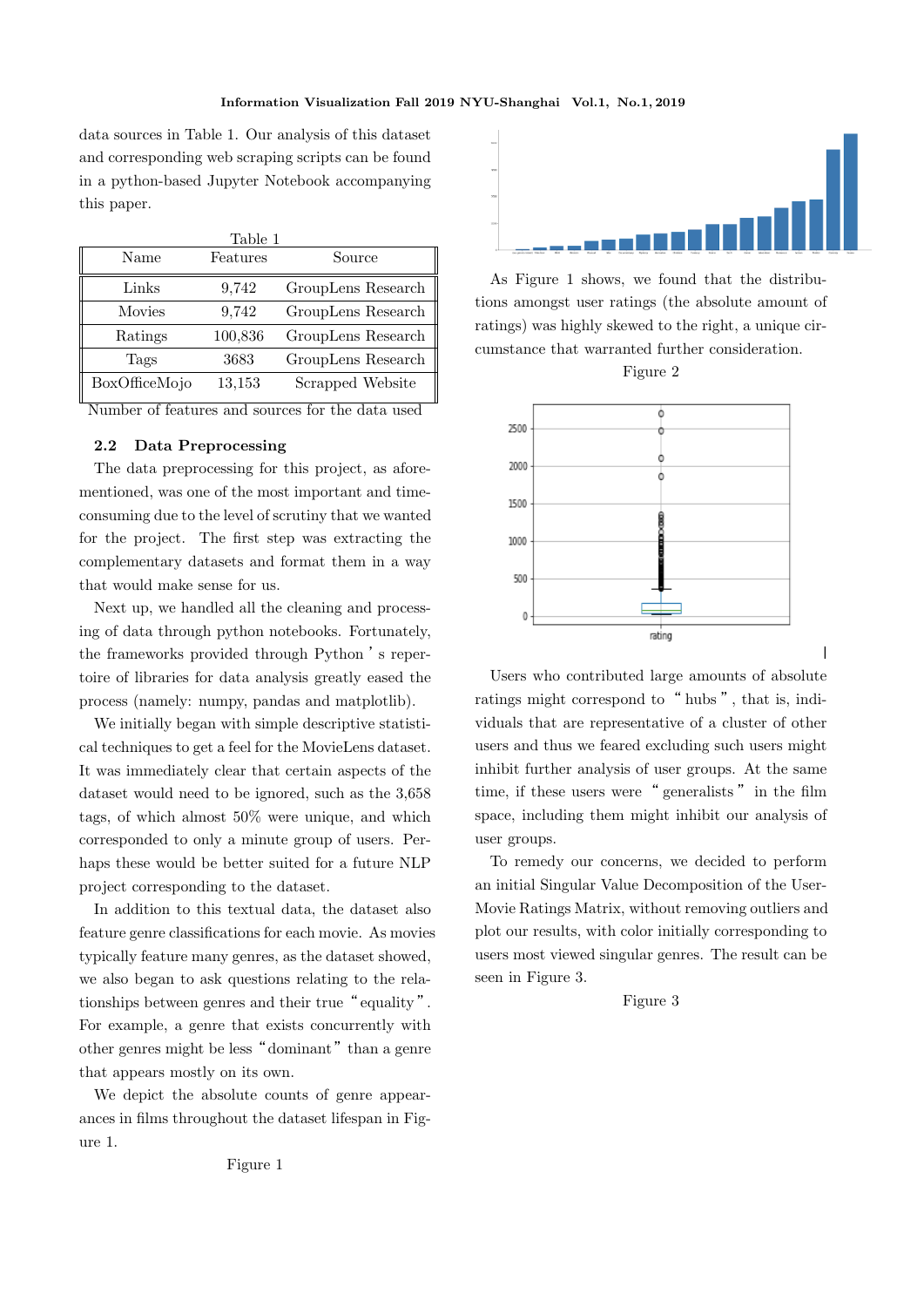data sources in Table 1. Our analysis of this dataset and corresponding web scraping scripts can be found in a python-based Jupyter Notebook accompanying this paper.

| Table 1       |          |                    |
|---------------|----------|--------------------|
| Name          | Features | Source             |
| Links         | 9,742    | GroupLens Research |
| <b>Movies</b> | 9,742    | GroupLens Research |
| Ratings       | 100,836  | GroupLens Research |
| Tags          | 3683     | GroupLens Research |
| BoxOfficeMojo | 13,153   | Scrapped Website   |

Number of features and sources for the data used

# **2.2 Data Preprocessing**

The data preprocessing for this project, as aforementioned, was one of the most important and timeconsuming due to the level of scrutiny that we wanted for the project. The first step was extracting the complementary datasets and format them in a way that would make sense for us.

Next up, we handled all the cleaning and processing of data through python notebooks. Fortunately, the frameworks provided through Python 's repertoire of libraries for data analysis greatly eased the process (namely: numpy, pandas and matplotlib).

We initially began with simple descriptive statistical techniques to get a feel for the MovieLens dataset. It was immediately clear that certain aspects of the dataset would need to be ignored, such as the 3,658 tags, of which almost 50% were unique, and which corresponded to only a minute group of users. Perhaps these would be better suited for a future NLP project corresponding to the dataset.

In addition to this textual data, the dataset also feature genre classifications for each movie. As movies typically feature many genres, as the dataset showed, we also began to ask questions relating to the relationships between genres and their true "equality". For example, a genre that exists concurrently with other genres might be less "dominant" than a genre that appears mostly on its own.

We depict the absolute counts of genre appearances in films throughout the dataset lifespan in Figure 1.



As Figure 1 shows, we found that the distributions amongst user ratings (the absolute amount of ratings) was highly skewed to the right, a unique circumstance that warranted further consideration.

Figure 2



Users who contributed large amounts of absolute ratings might correspond to " hubs", that is, individuals that are representative of a cluster of other users and thus we feared excluding such users might inhibit further analysis of user groups. At the same time, if these users were " generalists " in the film space, including them might inhibit our analysis of user groups.

To remedy our concerns, we decided to perform an initial Singular Value Decomposition of the User-Movie Ratings Matrix, without removing outliers and plot our results, with color initially corresponding to users most viewed singular genres. The result can be seen in Figure 3.

## Figure 3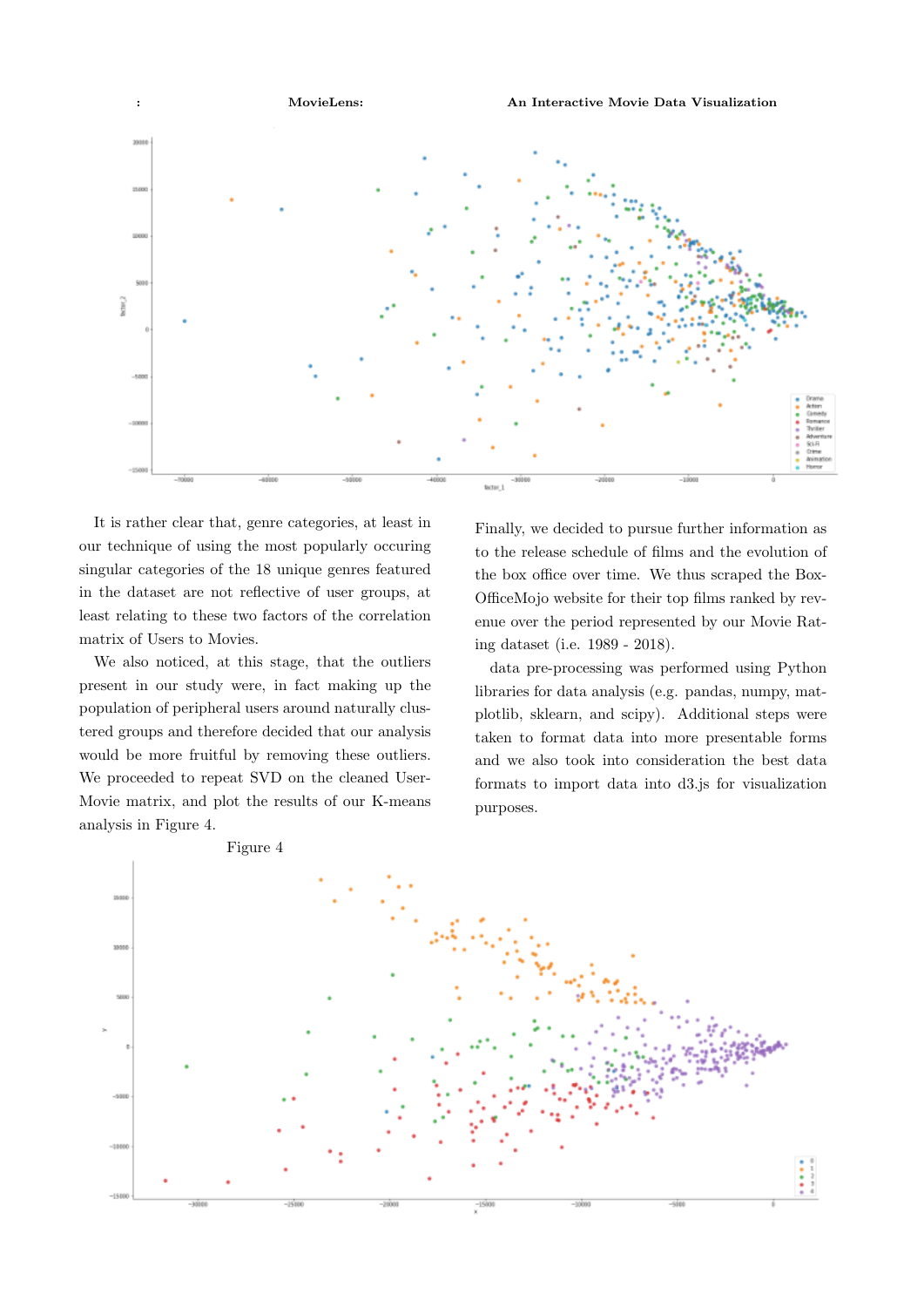

It is rather clear that, genre categories, at least in our technique of using the most popularly occuring singular categories of the 18 unique genres featured in the dataset are not reflective of user groups, at least relating to these two factors of the correlation matrix of Users to Movies.

We also noticed, at this stage, that the outliers present in our study were, in fact making up the population of peripheral users around naturally clustered groups and therefore decided that our analysis would be more fruitful by removing these outliers. We proceeded to repeat SVD on the cleaned User-Movie matrix, and plot the results of our K-means analysis in Figure 4.

Finally, we decided to pursue further information as to the release schedule of films and the evolution of the box office over time. We thus scraped the Box-OfficeMojo website for their top films ranked by revenue over the period represented by our Movie Rating dataset (i.e. 1989 - 2018).

data pre-processing was performed using Python libraries for data analysis (e.g. pandas, numpy, matplotlib, sklearn, and scipy). Additional steps were taken to format data into more presentable forms and we also took into consideration the best data formats to import data into d3.js for visualization purposes.